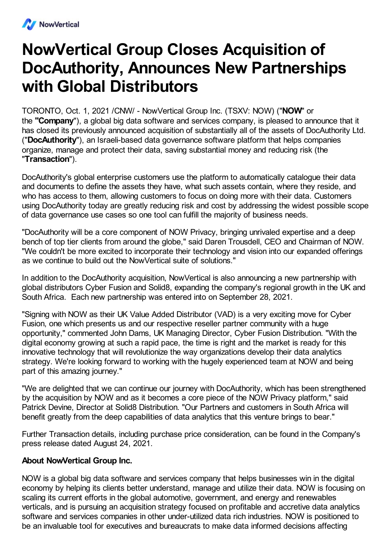

## **NowVertical Group Closes Acquisition of DocAuthority, Announces New Partnerships with Global Distributors**

TORONTO, Oct. 1, 2021 /CNW/ - NowVertical Group Inc. (TSXV: NOW) ("**NOW**" or the **"Company**"), a global big data software and services company, is pleased to announce that it has closed its previously announced acquisition of substantially all of the assets of DocAuthority Ltd. ("**DocAuthority**"), an Israeli-based data governance software platform that helps companies organize, manage and protect their data, saving substantial money and reducing risk (the "**Transaction**").

DocAuthority's global enterprise customers use the platform to automatically catalogue their data and documents to define the assets they have, what such assets contain, where they reside, and who has access to them, allowing customers to focus on doing more with their data. Customers using DocAuthority today are greatly reducing risk and cost by addressing the widest possible scope of data governance use cases so one tool can fulfill the majority of business needs.

"DocAuthority will be a core component of NOW Privacy, bringing unrivaled expertise and a deep bench of top tier clients from around the globe," said Daren Trousdell, CEO and Chairman of NOW. "We couldn't be more excited to incorporate their technology and vision into our expanded offerings as we continue to build out the NowVertical suite of solutions."

In addition to the DocAuthority acquisition, NowVertical is also announcing a new partnership with global distributors Cyber Fusion and Solid8, expanding the company's regional growth in the UK and South Africa. Each new partnership was entered into on September 28, 2021.

"Signing with NOW as their UK Value Added Distributor (VAD) is a very exciting move for Cyber Fusion, one which presents us and our respective reseller partner community with a huge opportunity," commented John Dams, UK Managing Director, Cyber Fusion Distribution. "With the digital economy growing at such a rapid pace, the time is right and the market is ready for this innovative technology that will revolutionize the way organizations develop their data analytics strategy. We're looking forward to working with the hugely experienced team at NOW and being part of this amazing journey."

"We are delighted that we can continue our journey with DocAuthority, which has been strengthened by the acquisition by NOW and as it becomes a core piece of the NOW Privacy platform," said Patrick Devine, Director at Solid8 Distribution. "Our Partners and customers in South Africa will benefit greatly from the deep capabilities of data analytics that this venture brings to bear."

Further Transaction details, including purchase price consideration, can be found in the Company's press release dated August 24, 2021.

## **About NowVertical Group Inc.**

NOW is a global big data software and services company that helps businesses win in the digital economy by helping its clients better understand, manage and utilize their data. NOW is focusing on scaling its current efforts in the global automotive, government, and energy and renewables verticals, and is pursuing an acquisition strategy focused on profitable and accretive data analytics software and services companies in other under-utilized data rich industries. NOW is positioned to be an invaluable tool for executives and bureaucrats to make data informed decisions affecting